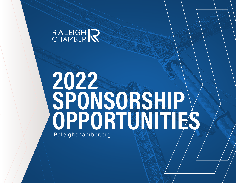# RALEIGH R

# **2022 SPONSORSHIP OPPORTUNITIES** Raleighchamber.org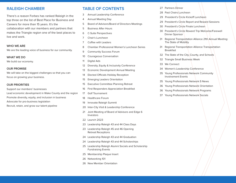#### **RALEIGH CHAMBER**

There's a reason Forbes has ranked Raleigh in the top three on the list of Best Place for Business and Careers for more than 15 years. It's the collaboration with our members and partners that makes the Triangle region one of the best places to live and work.

#### **WHO WE ARE**

We are the leading voice of business for our community.

#### **WHAT WE DO**

We build our economy.

#### **OUR PROMISE**

We will take on the biggest challenges so that you can focus on growing your business.

#### **OUR PRIORITIES**

Support our members' businesses Lead economic development in Wake County and the region Promote diversity, equity, and inclusion in business Advocate for pro-business legislation Recruit, retain, and grow our talent pipeline

### **TABLE OF CONTENTS**

- 3 Annual Leadership Conference
- 4 Annual Meeting Day
- 5 Board of Advisors/Board of Directors Meetings
- 5 Business After Hours
- 6 C-Suite Perspectives
- 7 Chair's Luncheon
- 7 Coffee with Leaders
- 8 Chamber Professional Women's Luncheon Series
- 9 Community Success Forum
- 10 Courageous Conversation
- 11 Digital Ads
- 12 Diversity, Equity & Inclusivity Conference
- 13 Economic Development Annual Meeting
- 14 Elected Officials Holiday Reception
- 15 Emerging Leaders Orientation
- 15 Executive Committee Planning Retreat
- 16 First Responders Appreciation Breakfast
- 17 Golf Tournament
- 18 Healthcare Forum
- 19 Innovate Raleigh Summit
- 20 Inter-City Visit & Leadership Conference
- 21 Joint Meeting of Board of Advisors and Edge 6 Investors
- 22 Launch 2023
- 23 Leadership Raleigh 43 and 44 Class Days
- 23 Leadership Raleigh 45 and 46 Opening Retreat Receptions
- 24 Leadership Raleigh 43 and 44 Graduation
- 24 Leadership Raleigh 43 and 44 Scholarships
- 25 Leadership Raleigh Alumni Socials and Scholarship Fundraising Events
- 25 Membership Plaque Insert
- 26 Networking 101
- 26 New Member Orientation
- 27 Partners Dinner
- 28 Past Chairs Luncheon
- 29 President's Circle Kickoff Luncheon
- 29 President's Circle Report and Reward Sessions
- 30 President's Circle Finale Luncheon
- 30 President's Circle Reward Trip Welcome/Farewell Dinner Sponsor
- 31 Regional Transportation Alliance 21th Annual Meeting: The State of Mobility
- 31 Regional Transportation Alliance Transportation Breakfast
- 32 The State of the City, County, and Schools
- 32 Triangle Small Business Week
- 33 We Connect
- 34 Women's Leadership Conference
- 35 Young Professionals Network Community Involvement Events
- 35 Young Professionals Network E-News
- 36 Young Professionals Network Orientation
- 36 Young Professionals Network Programs
- 37 Young Professionals Network Socials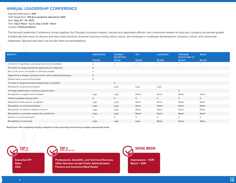# **ANNUAL LEADERSHIP CONFERENCE**

Expected Attendance: **200**  2021 Registration: **150 (pre-pandemic attendance 200)**  Date: **Aug. 23 - 24, 2022** Time: **Day 1: Noon - 6 p.m. Day 2: 8:30 - Noon** Location: **Pinehurst Resort**

The Annual Leadership Conference brings together the Triangle's business leaders, elected and appointed officials, and community leaders to help your company accelerate growth. Collaborate with peers to discuss and learn best practices. Examine business trends, policy issues, and strategies in employee development, company culture, and community leadership. Sponsorship does not include hotel accommodations.

| <b>BENEFITS</b>                                                  | <b>PRESENTING</b> | <b>EVENING</b><br><b>RECEPTION</b> | <b>GIFT</b> | <b>LUNCHEON</b> | <b>PROGRAM</b><br><b>BLOCK (LIMIT 5)</b> | <b>BREAK</b> |
|------------------------------------------------------------------|-------------------|------------------------------------|-------------|-----------------|------------------------------------------|--------------|
|                                                                  | \$10,000          | \$7,500                            | \$4,000     | \$2,500         | \$2,500                                  | \$2,000      |
| Conference registration, excluding hotel accommodations          | 2                 | 2                                  | 2           |                 |                                          |              |
| 10-minute on-stage promotional opportunity at conference         | X                 |                                    |             |                 |                                          |              |
| Run of site ad for one month on Chamber website                  | X                 |                                    |             |                 |                                          |              |
| Opportunity to display company banner and/or distribute premiums | X                 |                                    |             |                 |                                          |              |
| Display table at event (6-foot table)                            | X                 |                                    |             |                 |                                          |              |
| 3-minute on-stage promotional opportunity at reception           |                   | X                                  |             |                 |                                          |              |
| Recognition at sponsored location                                |                   | Logo                               | Logo        | Logo            |                                          |              |
| On-stage opportunity to introduce program block                  |                   |                                    |             |                 | X                                        |              |
| Recognition on digital and/or invitation                         | Logo              | Logo                               | Name        | Name            | Name                                     | Name         |
| Verbal recognition during event                                  | X                 | $\times$                           | X           | $\times$        | $\times$                                 | X            |
| Registration table sponsor recognition                           | Logo              | Logo                               | Name        | Name            | Name                                     | Name         |
| Recognition on event presentation                                | Logo              | Logo                               | Name        | Name            | Name                                     | Name         |
| Recognition on website calendar of events                        | Logo              | Logo                               | Name        | Name            | Name                                     | Name         |
| Recognition in promotion emails with website link                | Logo              | Logo                               | Name        | Name            | Name                                     | Name         |
| Mention in social media post                                     | $\times$          | $\times$                           | X           | $\times$        | $\times$                                 | $\times$     |
| Recognition on event app                                         | Logo              | Logo                               | Logo        | Name            | Name                                     | Name         |
|                                                                  |                   |                                    |             |                 |                                          |              |

**Restrictions: Non-competing industry categories at the presenting and evening reception sponsorship levels.** 

**Executive/VP Sales CEO**

**TOP 3 TITLES**



**Professional, Scientific, and Technical Services Other Services except Public Administration Finance and Insurance/Real Estate**



**Reach = 50K**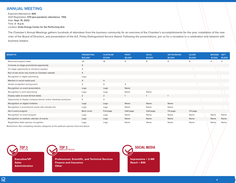#### **ANNUAL MEETING**

Expected Attendance: **600**  2021 Registration: **570 (pre-pandemic attendance 750)** Date: **Sept. 15, 2022** Time: **3 - 6 p.m.** Location: **Duke Energy Center for the Performing Arts**

The Chamber's Annual Meetings gathers hundreds of attendees from the business community for an overview of the Chamber's accomplishments for the year, installation of the new chair of the Board of Directors, and presentation of the A.E. Finley Distinguished Service Award. Following the presentations, join us for a reception in a celebration and network with business leaders.

| <b>BENEFITS</b>                                                  | <b>PRESENTING</b><br>\$20,000 | <b>PLATINUM</b><br>\$7,500 | <b>PRINT</b><br>\$5,000 | <b>GOLD</b><br>\$3,500 | <b>NETWORKING</b><br>\$3,000 | <b>SILVER</b><br>\$2,500 | <b>BRONZE</b><br>\$1,500 | <b>GIFT</b><br>\$1,500 |
|------------------------------------------------------------------|-------------------------------|----------------------------|-------------------------|------------------------|------------------------------|--------------------------|--------------------------|------------------------|
| Reserved program seats                                           | 24                            | 16                         | 8                       | 8                      | 8                            | 8                        |                          |                        |
| 3-minute on-stage promotional opportunity                        | X                             |                            |                         |                        |                              |                          |                          |                        |
| On-stage opportunity to introduce speaker                        | $\mathsf X$                   |                            |                         |                        |                              |                          |                          |                        |
| Run of site ad for one month on Chamber website                  | X                             |                            |                         |                        |                              |                          |                          |                        |
| Recognition in digital advertising                               | Logo                          |                            |                         |                        |                              |                          |                          |                        |
| Mention in social media post                                     | X                             | X                          |                         |                        |                              |                          |                          |                        |
| Verbal recognition during event                                  | $\times$                      | $\times$                   | $\times$                |                        |                              |                          |                          |                        |
| Recognition on event presentation                                | Logo                          | Logo                       | Name                    |                        |                              |                          |                          |                        |
| Recognition in print advertising                                 | Logo                          | Logo                       | Name                    | Name                   |                              |                          |                          |                        |
| Display table at event (6-foot table)                            | $\overline{2}$                | $\overline{2}$             |                         |                        |                              |                          |                          |                        |
| Opportunity to display company banner and/or distribute premiums | $\times$                      | $\times$                   |                         |                        |                              |                          |                          |                        |
| Recognition on digital invitation                                | Logo                          | Logo                       | Name                    | Name                   | Name                         |                          |                          |                        |
| Recognition in promotional emails with website link              | Logo                          | Logo                       | Name                    | Name                   | Name                         |                          |                          |                        |
| Ad in event program                                              | Back cover                    | Full-page                  | Half-page               | Half-page              | $1/4$ page                   | $1/4$ page               |                          |                        |
| Recognition on event program                                     | Logo                          | Logo                       | Name                    | Name                   | Name                         | Name                     | Name                     | Name                   |
| Recognition on website calendar of events                        | Logo                          | Logo                       | Name                    | Name                   | Name                         | Name                     | Name                     | Name                   |
| Registration table sponsor recognition                           | Logo                          | Logo                       | Name                    | Name                   | Name                         | Name                     | Name                     | Name                   |

Restrictions: Non-competing industry categories at the platinum sponsor level and above.



**Executive/VP Sales Administration**



**Professional, Scientific, and Technical Services Finance and Insurance Other**

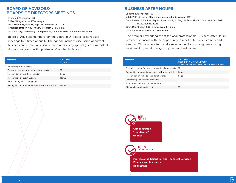#### **BOARD OF ADVISORS/ BOARDS OF DIRECTORS MEETINGS**

Expected Attendance: **150**  2020-21 Registration: **155 average**  Date: **March 23, May 25, Sept. 28, and Nov. 16, 2022** Time: **Registration 7:30 - 8 a.m.; Program 8 - 9:30 a.m.** Location: **City Club Raleigh in September; locations to be determined thereafter**

Board of Advisors members join the Board of Directors for its regular meetings four times annually. The agenda includes discussion of current business and community issues, presentations by special guests, roundtable discussions, along with updates on Chamber initiatives.

| <b>BENEFITS</b>                                     | <b>SPONSOR</b><br>\$1,000 |
|-----------------------------------------------------|---------------------------|
| Reserved program seats                              | 3                         |
| 3-minute on-stage promotional opportunity           | X                         |
| Recognition on event presentation                   | Logo                      |
| Recognition on event agenda                         | Name                      |
| Verbal recognition during event                     | $\times$                  |
| Recognition in promotional emails with website link | Name                      |

#### **BUSINESS AFTER HOURS**

Expected Attendance: **100**  2020-21 Registration: **80 average (pre-pandemic average 135)** Date: **March 21, April 18, May 16, June 13, July 11, Aug. 15, Sept. 12, Oct., Nov., and Dec. 2022; Jan. 2023, Feb. 2023** Time: **Registration 4:30 -5 p.m.; Event 5 - 6 p.m.** Location: **Host locations or Zoom/Virtual**

The premier networking event for local professionals, Business After Hours provides sponsors with the opportunity to meet potential customers and vendors. Those who attend make new connections, strengthen existing relationships, and find ways to grow their businesses.

| <b>BENEFITS</b>                                     | <b>SPONSOR</b><br>\$500 FOR A VIRTUAL EVENT:<br>\$1,500 + CATERING FOR AN IN-PERSON EVENT |
|-----------------------------------------------------|-------------------------------------------------------------------------------------------|
| 3-minute on-stage/on-screen promotional opportunity | X                                                                                         |
| Recognition in promotional emails with website link | Logo                                                                                      |
| Recognition on website calendar of events           | Logo                                                                                      |
| Opportunity to distribute premiums                  | X                                                                                         |
| Attendee names and companies roster                 | X                                                                                         |
| Mention in social media post                        | X                                                                                         |

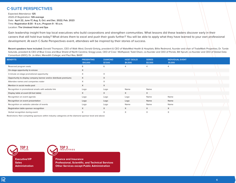#### **C-SUITE PERSPECTIVES**

Expected Attendance: **125** 2020-21 Registration: **126 average**  Date: **April 22, June 17, Aug. 5, Oct. and Dec. 2022; Feb. 2023** Time: **Registration 8:30 - 9 a.m.; Program 9 - 10 a.m.** Location: **The Umstead Hotel and Spa**

Gain leadership insight from top local executives who build corporations and strengthen communities. What lessons did these leaders discover early in their careers that still hold true today? What drives them to excel and push their goals further? You will be able to apply what they have learned to your own professional development. At each C-Suite Perspectives event, attendees will be inspired by their stories of success.

**Recent speakers have included:** Donald Thompson, CEO of Walk West; Donald Gintzig, president & CEO of WakeMed Health & Hospitals; Billie Redmond, founder and chair of TradeMark Properties; Dr. Tunde Sotunde, president & CEO of Blue Cross and Blue Shield of North Carolina; Gregg Lowe, CEO of Cree | Wolfspeed; Todd Olson, co-founder and CEO of Pendo; Bill Spruill, co-founder and CEO of Global Data Consortium (GDC); Dr. Jo Allen, Meredith College; and Paul Rea, BASF.

| <b>BENEFITS</b>                                                  | <b>PRESENTING</b><br>\$10,000 | <b>DIAMOND</b><br>\$7,500 | <b>HOST (SOLD)</b><br>\$4,500 | <b>SERIES</b><br>\$3,500 | <b>INDIVIDUAL EVENT</b><br>\$1,000 |  |
|------------------------------------------------------------------|-------------------------------|---------------------------|-------------------------------|--------------------------|------------------------------------|--|
| Reserved program seats                                           | 8                             | 6                         | 4                             | 4                        | 4                                  |  |
| On-stage opportunity to emcee                                    | X                             |                           |                               |                          |                                    |  |
| 3-minute on-stage promotional opportunity                        | $\times$                      | X                         |                               |                          |                                    |  |
| Opportunity to display company banner and/or distribute premiums | X                             | X                         |                               |                          |                                    |  |
| Attendee names and companies roster                              | $\times$                      | X                         |                               |                          |                                    |  |
| Mention in social media post                                     | X                             | X                         |                               |                          |                                    |  |
| Recognition in promotional emails with website link              | Logo                          | Logo                      | Name                          | Name                     |                                    |  |
| Display table at event (6-foot table)                            | $\times$                      | X                         | $\times$                      | $\times$                 |                                    |  |
| Recognition on event agenda                                      | Logo                          | Logo                      | Logo                          | Name                     | Name                               |  |
| Recognition on event presentation                                | Logo                          | Logo                      | Logo                          | Name                     | Name                               |  |
| Recognition on website calendar of events                        | Logo                          | Logo                      | Name                          | Name                     | Name                               |  |
| Registration table sponsor recognition                           | X                             | X                         | $\times$                      | X                        | X                                  |  |
| Verbal recognition during event                                  | X                             | X                         | $\times$                      | $\times$                 | $\times$                           |  |

Restrictions: Non-competing sponsors within industry categories at the diamond sponsor level and above

**TOP 3 TITLES Executive/VP**

**Sales Administration**



**Finance and Insurance Professional, Scientific, and Technical Services Other Services except Public Administration**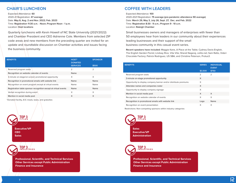# **CHAIR'S LUNCHEON**

Expected Attendance: **60**  2020-21 Registration: **47 average**  Date: **May 6, Aug. 2 and Nov. 2022; Feb. 2023** Time: **Registration 11:30 a.m. - Noon; Program Noon - 1 p.m.** Location: **Host locations**

Quarterly luncheons with Kevin Howell of NC State University (2021/2022) and Chamber President and CEO Adrienne Cole. Members from selected ZIP code areas and new members from the preceding quarter are invited for an update and roundtable discussion on Chamber activities and issues facing the business community.

| <b>BENEFITS</b>                                                 | HOST*<br><b>DONATED</b> | <b>SPONSOR</b> |
|-----------------------------------------------------------------|-------------------------|----------------|
|                                                                 | <b>SERVICES</b>         | \$500          |
| Reserved program seats                                          | $\overline{2}$          | 2              |
| Recognition on website calendar of events                       | Name                    |                |
| 3-minute on-stage/on-screen promotional opportunity             | X                       | X              |
| Recognition in promotional emails with website link             | Name                    | Name           |
| Recognition on event program except at virtual events           | Name                    | Name           |
| Registration table sponsor recognition except at virtual events | Name                    | Name           |
| Verbal recognition during event                                 | X                       | X              |
| Mention in social media post                                    | X                       | X              |
|                                                                 |                         |                |

\*Donated facility, A/V, meals, taxes, and gratuities

**Executive/VP CEO Sales**

**TOP 3 TITLES**

**TOP 3 INDUSTRIES**

**Professional, Scientific, and Technical Services Other Services except Public Administration Finance and Insurance**

#### **COFFEE WITH LEADERS**

#### Expected Attendance: **100**

2020-2021 Registration: **75 average (pre-pandemic attendance 90 average)** Date: **March 29, May 3, July 26, Sept. 27, Dec. and Feb. 2022** Time: **Registration 8:30 - 9 a.m.; Program 9 - 10 a.m.** Location: **Raleigh Chamber**

Small businesses owners and managers of enterprises with fewer than 50 employees hear from leaders in our community about their experiences leading businesses and their support of the small business community in this casual event series.

**Recent speakers have included:** Maggie Kane, A Place at the Table; Cydney Davis-English, The English Garden Florist; Lindsay Rice, Vita Vite; Sharat Nagaraj, celito.net; Sam Ratto, Videri Chocolate Factory; Patrick Rodriguez, US SBA, and Christine Peterson, Protus3.

| <b>BENEFITS</b>                                                  | <b>SERIES</b><br>\$3,500 | <b>INDIVIDUAL</b><br><b>EVENT</b><br>\$750 |
|------------------------------------------------------------------|--------------------------|--------------------------------------------|
| Reserved program seats                                           | $\overline{2}$           | $\overline{2}$                             |
| 3-minute on-stage promotional opportunity                        | X                        |                                            |
| Opportunity to display company banner and/or distribute premiums | X                        |                                            |
| Attendee names and companies roster                              | X                        |                                            |
| Opportunity to display company signage                           | X                        |                                            |
| Mention in social media post                                     | $\times$                 | X                                          |
| Recognition on website calendar of events                        | X                        | X                                          |
| Recognition in promotional emails with website link              | Logo                     | Name                                       |
| Recognition on event presentation                                | $\times$                 | X                                          |

Restrictions: Non-competing sponsors within industry categories



**TOP 3 INDUSTRIES**

**Professional, Scientific, and Technical Services Other Services except Public Administration Finance and Insurance**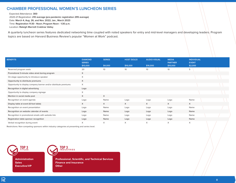#### **CHAMBER PROFESSIONAL WOMEN'S LUNCHEON SERIES**

Expected Attendance: **300** 

2020-21 Registration: **210 average (pre-pandemic registration 295 average)** Date: **March 4, Aug. 26, and Nov. 2022; Jan., March 2023** Time: **Registration 11:30 - Noon; Program Noon - 1:30 p.m.** Location: **Raleigh Marriott Crabtree Valley**

A quarterly luncheon series features dedicated networking time coupled with noted speakers for entry and mid-level managers and developing leaders. Program topics are based on Harvard Business Review's popular "Women at Work" podcast.

| <b>BENEFITS</b>                                                  | <b>DIAMOND</b><br><b>SERIES</b><br>\$10,000 | <b>SERIES</b><br>\$4,000 | <b>HOST (SOLD)</b><br>\$16,000 | <b>AUDIO-VISUAL</b><br>\$16,000 | <b>MEDIA</b><br><b>PARTNER</b><br>\$10,000 | <b>INDIVIDUAL</b><br><b>EVENT</b><br>\$2,000 |  |
|------------------------------------------------------------------|---------------------------------------------|--------------------------|--------------------------------|---------------------------------|--------------------------------------------|----------------------------------------------|--|
|                                                                  | 20                                          | 10                       | 10                             | 10                              | 10 <sup>°</sup>                            | 5                                            |  |
| Reserved program seats                                           |                                             |                          |                                |                                 |                                            |                                              |  |
| Promotional 3-minute video aired during program                  | X                                           |                          |                                |                                 |                                            |                                              |  |
| On-stage opportunity to introduce speaker                        | X                                           |                          |                                |                                 |                                            |                                              |  |
| Opportunity to distribute premiums                               | X                                           |                          |                                |                                 |                                            |                                              |  |
| Opportunity to display company banner and/or distribute premiums | X                                           |                          |                                |                                 |                                            |                                              |  |
| Recognition in digital advertising                               | Logo                                        |                          |                                |                                 |                                            |                                              |  |
| Opportunity to display company signage                           | X                                           |                          |                                |                                 |                                            |                                              |  |
| Mention in social media post                                     | X                                           | X                        |                                |                                 |                                            |                                              |  |
| Recognition on event agenda                                      | Logo                                        | Name                     | Logo                           | Logo                            | Logo                                       | Name                                         |  |
| Display table at event (6-foot table)                            | $\times$                                    | $\times$                 | $\times$                       | $\times$                        | X                                          | $\times$                                     |  |
| Recognition on event presentation                                | Logo                                        | Name                     | Logo                           | Logo                            | Logo                                       | Name                                         |  |
| Recognition on website calendar of events                        | Logo                                        | Name                     | Logo                           | Logo                            | Logo                                       | Name                                         |  |
| Recognition in promotional emails with website link              | Logo                                        | Name                     | Logo                           | Logo                            | Logo                                       | Name                                         |  |
| Registration table sponsor recognition                           | Logo                                        | Name                     | Logo                           | Logo                            | Logo                                       | Name                                         |  |
| Verbal recognition during event                                  | X                                           | X                        | X                              | X                               | X                                          | X                                            |  |

Restrictions: Non-competing sponsors within industry categories at presenting and series level.



**Administration Sales Executive/VP**



**Professional, Scientific, and Technical Services Finance and Insurance Other**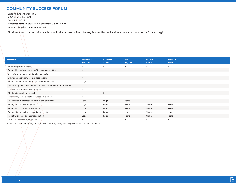## **COMMUNITY SUCCESS FORUM**

Expected Attendance: **400**  2021 Registration: **630** Date: **Feb. 2023** Time: **Registration 8:30 - 9 a.m.; Program 9 a.m. - Noon** Location: **Location to be determined**

Business and community leaders will take a deep dive into key issues that will drive economic prosperity for our region.

| <b>BENEFITS</b>                                                  | <b>PRESENTING</b><br>\$15,000 | <b>PLATINUM</b><br>\$7,500 | <b>GOLD</b><br>\$5,000 | <b>SILVER</b><br>\$2,500 | <b>BRONZE</b><br>\$1,000 |  |
|------------------------------------------------------------------|-------------------------------|----------------------------|------------------------|--------------------------|--------------------------|--|
| Reserved program seats                                           | 8                             | 8                          | 4                      | 4                        | 2                        |  |
| Recognition as "presented by" following event title              | X                             |                            |                        |                          |                          |  |
| 3-minute on-stage promotional opportunity                        | $\times$                      |                            |                        |                          |                          |  |
| On-stage opportunity to introduce speaker                        | $\times$                      |                            |                        |                          |                          |  |
| Run of site ad for one month on Chamber website                  | Logo                          |                            |                        |                          |                          |  |
| Opportunity to display company banner and/or distribute premiums | X                             |                            |                        |                          |                          |  |
| Display table at event (6-foot table)                            | $\times$                      | X                          |                        |                          |                          |  |
| Mention in social media post                                     | X                             | $\times$                   |                        |                          |                          |  |
| Opportunity to participate as a session facilitator              | $\times$                      |                            |                        |                          |                          |  |
| Recognition in promotion emails with website link                | Logo                          | Logo                       | Name                   |                          |                          |  |
| Recognition on event agenda                                      | Logo                          | Logo                       | Name                   | Name                     | Name                     |  |
| Recognition on event presentation                                | Logo                          | Logo                       | Name                   | Name                     | Name                     |  |
| Recognition on website calendar of events                        | Logo                          | Logo                       | Name                   | Name                     | Name                     |  |
| Registration table sponsor recognition                           | Logo                          | Logo                       | Name                   | Name                     | Name                     |  |
| Verbal recognition during event                                  | X                             | X                          | X                      | X                        | X                        |  |

Restrictions: Non-competing sponsors within industry categories at speaker sponsor level and above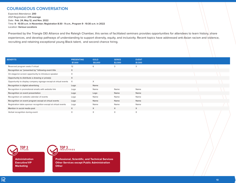#### **COURAGEOUS CONVERSATION**

Expected Attendance: **200**  2021 Registration: **275 average** Date: **Feb. 24, May 12, and Nov. 2022** Time: **9 - 10:30 a.m. in November; Registration 8:30 - 9 a.m., Program 9 - 10:30 a.m. in 2022** Location: **Various Locations** 

Presented by the Triangle DEI Alliance and the Raleigh Chamber, this series of facilitated seminars provides opportunities for attendees to learn history, share experiences, and develop pathways of understanding to support diversity, equity, and inclusivity. Recent topics have addressed anti-Asian racism and violence, recruiting and retaining exceptional young Black talent, and second chance hiring.

| <b>BENEFITS</b>                                                 | <b>PRESENTING</b><br>\$7,500 | <b>GOLD</b><br>\$5,000 | <b>SERIES</b><br>\$2,500 | <b>EVENT</b><br>\$1,500 |  |
|-----------------------------------------------------------------|------------------------------|------------------------|--------------------------|-------------------------|--|
| Reserved program seats if virtual                               | 12                           | 6                      | 3                        | 3                       |  |
| Recognition as "presented by" following event title             | $\times$                     |                        |                          |                         |  |
| On-stage/on-screen opportunity to introduce speaker             | $\times$                     |                        |                          |                         |  |
| Opportunity to distribute a drawing or prize(s)                 | X                            |                        |                          |                         |  |
| Opportunity to display company signage except at virtual events | $\times$                     | X                      |                          |                         |  |
| Recognition in digital advertising                              | Logo                         | Name                   |                          |                         |  |
| Recognition in promotional emails with website link             | Logo                         | Name                   | Name                     | Name                    |  |
| Recognition on event presentation                               | Logo                         | Logo                   | Name                     | Name                    |  |
| Recognition on website calendar of events                       | Logo                         | Name                   | Name                     | Name                    |  |
| Recognition on event program except at virtual events           | Logo                         | Name                   | Name                     | Name                    |  |
| Registration table sponsor recognition except at virtual events | Logo                         | Name                   | Name                     | Name                    |  |
| Mention in social media post                                    | $\times$                     | $\times$               | $\times$                 | X                       |  |
| Verbal recognition during event                                 | X                            | X                      | X                        | $\times$                |  |

**TOP 3 TITLES Administration**

**Executive/VP Marketing**



**Professional, Scientific, and Technical Services Other Services except Public Administration Other**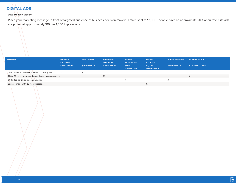## **DIGITAL ADS**

#### Date: **Monthly, Weekly**

Place your marketing message in front of targeted audience of business decision-makers. Emails sent to 12,000+ people have an approximate 20% open rate. Site ads are priced at approximately \$10 per 1,000 impressions.

| <b>BENEFITS</b>                                      | <b>WEBSITE</b><br><b>SPONSOR</b><br>\$6,000/YEAR | <b>RUN OF SITE</b><br><b>\$750/MONTH</b> | <b>WEB PAGE</b><br><b>/SECTION</b><br>\$2,000/YEAR | <b>E-NEWS</b><br><b>BANNER AD</b><br>\$1,000<br>/SERIES OF 4 | <b>E-NEW</b><br><b>STORY AD</b><br>\$1,000/<br>/SERIES OF 4 | <b>EVENT PREVIEW</b><br><b>\$500/MONTH</b> | <b>VOTERS' GUIDE</b><br>\$750/SEPT. - NOV. |
|------------------------------------------------------|--------------------------------------------------|------------------------------------------|----------------------------------------------------|--------------------------------------------------------------|-------------------------------------------------------------|--------------------------------------------|--------------------------------------------|
| 300 x 250 run of site ad linked to company site      | $\times$                                         | $\checkmark$<br>$\curvearrowright$       |                                                    |                                                              |                                                             |                                            |                                            |
| 728 x 90 ad on sponsored page linked to company site |                                                  |                                          | $\sqrt{}$                                          |                                                              |                                                             |                                            | X                                          |
| 600 x 180 ad linked to company site                  |                                                  |                                          |                                                    | $\times$                                                     |                                                             | X                                          |                                            |
| Logo or image with 25-word message                   |                                                  |                                          |                                                    |                                                              |                                                             |                                            |                                            |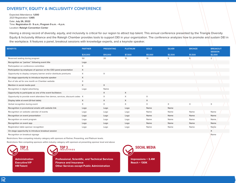#### **DIVERSITY, EQUITY & INCLUSIVITY CONFERENCE**

Expected Attendance: **1,000**  2021 Registration: **1,065**  Date: **July 26, 2022** Time: **Registration 8 - 9 a.m.; Program 9 a.m. - 4 p.m.** Location: **Raleigh Convention Center**

Having a strong record of diversity, equity, and inclusivity is critical for our region to attract top talent. This annual conference presented by the Triangle Diversity Equity & Inclusivity Alliance and the Raleigh Chamber provides tools to support DEI in your organization. The conference analyzes how to promote and sustain DEI in the workplace. It features a panel, breakout sessions with knowledge experts, and a keynote speaker.

| <b>BENEFITS</b>                                                               | <b>PARTNER</b> | <b>PRESENTING</b> | <b>PLATINUM</b> | <b>GOLD</b>     | <b>SILVER</b> | <b>BRONZE</b> | <b>BREAKOUT</b><br><b>SESSION</b> |
|-------------------------------------------------------------------------------|----------------|-------------------|-----------------|-----------------|---------------|---------------|-----------------------------------|
|                                                                               | \$20,000       | \$10,000          | \$7,500         | \$5,000         | \$2,500       | \$1,500       | \$2,000                           |
| Reserved seating during program                                               | 50             | 20                | 15              | 10 <sup>°</sup> | 5             | 5             | $2^{\circ}$                       |
| Recognition as "partner" following event title                                | Logo           |                   |                 |                 |               |               |                                   |
| Participation on conference committee                                         | X              |                   |                 |                 |               |               |                                   |
| Participation by employee of sponsor on the CEO panel presentation            | X              |                   |                 |                 |               |               |                                   |
| Opportunity to display company banner and/or distribute premiums              | $\times$       | X                 |                 |                 |               |               |                                   |
| On-stage opportunity to introduce keynote speaker                             | X              |                   |                 |                 |               |               |                                   |
| Run of site ad for one month on Chamber website                               | X              |                   |                 |                 |               |               |                                   |
| Mention in social media post                                                  | $\times$       | X                 |                 |                 |               |               |                                   |
| Recognition in digital advertising                                            | Logo           | Name              |                 |                 |               |               |                                   |
| Opportunity to participate as one of the event facilitators                   |                | X                 | $\times$        |                 |               |               |                                   |
| Opportunity to provide event attendees free demos, services, discount codes X |                | X                 | $\times$        | $\times$        |               |               |                                   |
| Display table at event (6-foot table)                                         | $\times$       | X                 | $\times$        | $\times$        |               |               |                                   |
| Verbal recognition during event                                               | X              | $\times$          | $\times$        | $\times$        | $\times$      | $\times$      | X                                 |
| Recognition in promotional emails with website link                           | Logo           | Logo              | Logo            | Name            | Name          |               |                                   |
| Recognition on website calendar of events                                     | Logo           | Logo              | Logo            | Name            | Name          | Name          | Name                              |
| Recognition on event presentation                                             | Logo           | Logo              | Logo            | Name            | Name          | Name          | Name                              |
| Recognition on event program                                                  | Logo           | Logo              | Logo            | Name            | Name          | Name          | Name                              |
| Recognition on event app                                                      | Logo           | Logo              | Logo            | Name            | Name          | Name          | Name                              |
| Registration table sponsor recognition                                        | Logo           | Logo              | Logo            | Name            | Name          | Name          | Name                              |
| On-stage opportunity to introduce breakout session                            |                |                   |                 |                 |               |               | X                                 |

Recognition on breakout signage Name

Restrictions: Non-competing industry category with sponsors at Partner, Presenting, and Platinum levels.

Restrictions: Non-competing sponsors within industry category with sponsors at presenting sponsor level and above

**TOP 3 TITLES**

**Administration Executive/VP HR/Talent**



**Professional, Scientific, and Technical Services Finance and Insurance Other Services except Public Administration**



 $\overline{\mathcal{R}}$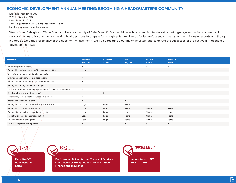#### **ECONOMIC DEVELOPMENT ANNUAL MEETING: BECOMING A HEADQUARTERS COMMUNITY**

Expected Attendance: **300**  2021 Registration: **275**  Date: **June 22, 2022** Time: **Registration 8:30 - 9 a.m.; Program 9 - 11 a.m.** Location: **Location to be Determined**

We consider Raleigh and Wake County to be a community of "what's next." From rapid growth, to attracting top talent, to cutting-edge innovations, to welcoming new companies, this community is making bold decisions to prepare for a brighter future. Join us for future-focused conversations with industry experts and thought leaders as we endeavor to answer the question, "what's next?" We'll also recognize our major investors and celebrate the successes of the past year in economic development news.

| <b>BENEFITS</b>                                                  | <b>PRESENTING</b><br>\$15,000 | <b>PLATINUM</b><br>\$7,500 | <b>GOLD</b><br>\$5,000 | <b>SILVER</b><br>\$2,500 | <b>BRONZE</b><br>\$1,000 |
|------------------------------------------------------------------|-------------------------------|----------------------------|------------------------|--------------------------|--------------------------|
| Reserved program seats                                           | 20                            | 10 <sup>°</sup>            | 5                      | $\overline{4}$           | 2                        |
| Recognition as "presented by" following event title              | Logo                          |                            |                        |                          |                          |
| 3-minute on-stage promotional opportunity                        | X                             |                            |                        |                          |                          |
| On-stage opportunity to introduce speaker                        | X                             |                            |                        |                          |                          |
| Run of site ad for one month on Chamber website                  | $\times$                      |                            |                        |                          |                          |
| Recognition in digital advertising Logo                          |                               |                            |                        |                          |                          |
| Opportunity to display company banner and/or distribute premiums | $\times$                      | $\times$                   |                        |                          |                          |
| Display table at event (6-foot table)                            | $\times$                      | $\times$                   |                        |                          |                          |
| Opportunity to participate as a session facilitator              | $\times$                      | $\times$                   |                        |                          |                          |
| Mention in social media post                                     | X                             | X                          | X                      |                          |                          |
| Recognition in promotion emails with website link                | Logo                          | Logo                       | Name                   |                          |                          |
| Recognition on event presentation                                | Logo                          | Logo                       | Name                   | Name                     | Name                     |
| Recognition on website calendar of events                        | Logo                          | Logo                       | Name                   | Name                     | Name                     |
| Registration table sponsor recognition                           | Logo                          | Logo                       | Name                   | Name                     | Name                     |
| Recognition on event agenda                                      | Logo                          | Logo                       | Name                   | Name                     | Name                     |
| Verbal recognition during event                                  | X                             | $\times$                   | $\times$               | $\times$                 | $\times$                 |

**TOP 3 TITLES Executive/VP**

**Administration Sales**



**Professional, Scientific, and Technical Services Other Services except Public Administration Finance and Insurance**

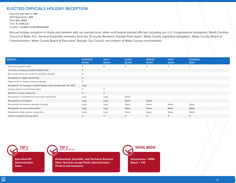#### **ELECTED OFFICIALS HOLIDAY RECEPTION**

Expected Attendance: **425**  2021 Registration: **225**  Date: **Dec. 2022** Time: **5 - 6:30 p.m.** Location: **Location to be Determined**

Annual holiday reception to thank and network with our elected local, state, and federal elected officials, including our U.S. Congressional delegation, North Carolina Council of State, N.C. General Assembly members from the 13-county Research Triangle Park region, Wake County legislative delegation, Wake County Board of Commissioners, Wake County Board of Education, Raleigh City Council, and mayors of Wake County municipalities.

| <b>BENEFITS</b>                                                         | <b>PLATINUM</b><br>\$7,500 | <b>GOLD</b><br>\$5,000 | <b>SILVER</b><br>\$2,500 | <b>BRONZE</b><br>\$1,000 | <b>PRINT</b><br>\$1,000 | <b>BEVERAGE</b><br>\$500 |  |
|-------------------------------------------------------------------------|----------------------------|------------------------|--------------------------|--------------------------|-------------------------|--------------------------|--|
| Reserved program seats                                                  | 8                          | 6                      | 4                        | 2                        | 2                       |                          |  |
| 3-minute on-stage promotional opportunity                               | $\times$                   |                        |                          |                          |                         |                          |  |
| Run of site ad for one month on Chamber website                         | X                          |                        |                          |                          |                         |                          |  |
| Recognition in digital advertising                                      | X                          |                        |                          |                          |                         |                          |  |
| Opportunity to display company signage                                  | X                          |                        |                          |                          |                         |                          |  |
| Recognition on reception cocktail napkins *print deadline Nov. 14, 2022 | Logo                       |                        |                          |                          |                         |                          |  |
| Display table at event (6-foot table)                                   | X                          | X                      |                          |                          |                         |                          |  |
| Mention in social media post                                            | $\times$                   | X                      |                          |                          |                         |                          |  |
| Recognition in promotional emails with website link                     | Logo                       | Logo                   | Name                     |                          |                         |                          |  |
| Recognition on invitation                                               | Logo                       | Logo                   | Name                     | Name                     |                         |                          |  |
| Recognition on website calendar of events                               | Logo                       | Logo                   | Name                     | Name                     | Name                    | Name                     |  |
| Recognition on event presentation                                       | Logo                       | Logo                   | Name                     | Name                     | Name                    | Name                     |  |
| Registration table sponsor recognition                                  | Logo                       | Logo                   | Name                     | Name                     | Name                    | Name                     |  |
| Verbal recognition during event                                         | X                          | X                      | X                        | X                        | $\times$                | $\times$                 |  |

**TOP 3 TITLES**

**Executive/VP Administration Sales**



**Professional, Scientific, and Technical Services Other Services except Public Administration Finance and Insurance**



**Impressions = 495k Reach = 41K**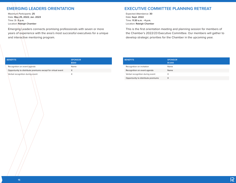## **EMERGING LEADERS ORIENTATION**

Maximum Participants: **25**  Date: **May 25, 2022; Jan. 2023** Time: **3 - 5 p.m.** Location: **Raleigh Chamber**

Emerging Leaders connects promising professionals with seven or more years of experience with the area's most successful executives for a unique and interactive mentoring program.

#### **EXECUTIVE COMMITTEE PLANNING RETREAT**

Expected Attendance: **30**  Date: **Sept. 2022** Time: **11:30 a.m. - 4 p.m.** Location: **Raleigh Chamber**

This is the first orientation meeting and planning session for members of the Chamber's 2022/23 Executive Committee. Our members will gather to develop strategic priorities for the Chamber in the upcoming year.

| <b>BENEFITS</b>                                             | <b>SPONSOR</b><br>\$500 |
|-------------------------------------------------------------|-------------------------|
| Recognition on event agenda                                 | Name                    |
| Opportunity to distribute premiums except for virtual event | X                       |
| Verbal recognition during event                             | X                       |

| <b>BENEFITS</b>                    | <b>SPONSOR</b><br>\$1,000 |
|------------------------------------|---------------------------|
| Recognition on invitation          | Name                      |
| Recognition on event agenda        | Name                      |
| Verbal recognition during event    | X                         |
| Opportunity to distribute premiums |                           |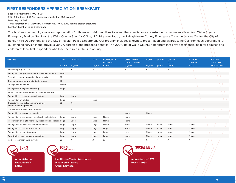#### **FIRST RESPONDERS APPRECIATION BREAKFAST**

Expected Attendance: **400 - 500**  2021 Attendance: **250 (pre-pandemic registration 350 average)** Date: **Sept. 9, 2022** Time: **Registration 7 - 7:30 a.m.; Program 7:30 - 9:30 a.m., Vehicle display afterward** Location: **Location to be Determined**

The business community shows our appreciation for those who risk their lives to save others. Invitations are extended to representatives from Wake County Emergency Medical Services, the Wake County Sheriff's Office, N.C. Highway Patrol, the Raleigh-Wake County Emergency Communications Center, the City of Raleigh Fire Department, and the City of Raleigh Police Department. Our program includes a keynote presentation and awards to heroes from each department for outstanding service in the previous year. A portion of the proceeds benefits The 200 Club of Wake County, a nonprofit that provides financial help for spouses and children of local first responders who lose their lives in the line of duty.

| <b>BENEFITS</b>                                                     | <b>TITLE</b> | <b>PLATINUM</b> | <b>GIFT</b> | <b>COMMUNITY</b><br><b>PARTNER</b> | <b>OUTSTANDING</b><br><b>SERVICE AWARD</b> | <b>GOLD</b> | <b>SILVER</b>  | <b>COFFEE</b><br><b>TO GO</b> | <b>VEHICLE</b><br><b>DISPLAY</b> | <b>200 CLUB</b><br><b>DONATION</b> |
|---------------------------------------------------------------------|--------------|-----------------|-------------|------------------------------------|--------------------------------------------|-------------|----------------|-------------------------------|----------------------------------|------------------------------------|
|                                                                     | \$15,000     | \$7,500         | \$5,000     | \$5,000                            | \$2,500                                    | \$1,500     | \$1,000        | \$1,000                       | \$750                            | <b>ANY AMOUNT</b>                  |
| Reserved program seats                                              | 20           | 10              | 10          | 10                                 | 5                                          | 5           | $\overline{4}$ | $\overline{4}$                | $\overline{2}$                   |                                    |
| Recognition as "presented by" following event title                 | Logo         |                 |             |                                    |                                            |             |                |                               |                                  |                                    |
| 3-minute on-stage promotional opportunity                           | X            |                 |             |                                    |                                            |             |                |                               |                                  |                                    |
| On-stage opportunity to distribute awards                           | X            |                 |             |                                    |                                            |             |                |                               |                                  |                                    |
| Recognition on awards                                               | Name         |                 |             |                                    |                                            |             |                |                               |                                  |                                    |
| Recognition in digital advertising                                  | Logo         |                 |             |                                    |                                            |             |                |                               |                                  |                                    |
| Run of site ad for one month on Chamber website                     | X            |                 |             |                                    |                                            |             |                |                               |                                  |                                    |
| Recognition on depending on location                                | Logo         | Logo            |             |                                    |                                            |             |                |                               |                                  |                                    |
| Recognition on gift tag                                             | Logo         |                 | Logo        |                                    |                                            |             |                |                               |                                  |                                    |
| Opportunity to display company banner<br>and/or distribute premiums | X            | $\times$        |             |                                    |                                            |             |                |                               |                                  |                                    |
| Display table at event (6-foot table)                               | X            | X               |             |                                    |                                            |             |                |                               |                                  |                                    |
| Recognition at sponsored location                                   |              |                 |             |                                    | Name                                       | Name        |                |                               |                                  |                                    |
| Recognition in promotional emails with website link                 | Logo         | Logo            | Logo        | Name                               | Name                                       |             |                |                               |                                  |                                    |
| Recognition on digital monitors, depending on location Logo         |              | Logo            | Logo        | Name                               | Name                                       |             |                |                               |                                  |                                    |
| Recognition on website calendar of events                           | Logo         | Logo            | Logo        | Name                               | Name                                       | Name        | Name           | Name                          | Name                             |                                    |
| Recognition on event presentation                                   | Logo         | Logo            | Logo        | Logo                               | Name                                       | Name        | Name           | Name                          | Name                             |                                    |
| Recognition on event program                                        | Logo         | Logo            | Logo        | Logo                               | Logo                                       | Name        | Name           | Name                          | Name                             |                                    |
| Registration table sponsor recognition                              | Logo         | Logo            | Logo        | Logo                               | Name                                       | Name        | Name           | Name                          | Name                             |                                    |
| Verbal recognition during event                                     | X            | X               | X           | X                                  | X                                          | X           | $\times$       | X                             | X                                |                                    |

**TOP 3 TITLES**

**Administration Executive/VP Sales**



**Healthcare/Social Assistance Finance/Insurance Other Services**

**SOCIAL MEDIA Impressions = 1.2M Reach = 199K**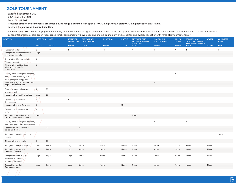# **GOLF TOURNAMENT**

Expected Registration: **350** 

2021 Registration: **320** 

Date: **Oct. 17, 2022**

Time: **Registration and continental breakfast, driving range & putting green open 8 - 10:30 a.m.; Shotgun start 10:30 a.m.; Reception 3:30 - 5 p.m.**

Location: **Prestonwood Country Club, Cary**

With more than 300 golfers playing simultaneously on three courses, this golf tournament is one of the best places to connect with the Triangle's top business decision-makers. The event includes a continental breakfast, cart, green fees, boxed lunch, complimentary beverages and snacks during play, and a cocktail and awards reception with raffle after tournament play.

| <b>BENEFITS</b>                                                            | PRESENTING GIFT |          | <b>RECEPTION</b><br><b>PRESENTING</b> | <b>BOXED LUNCH</b><br><b>OR SCORECARD</b> | <b>RECEPTION</b> | <b>RAFFLE</b>  | <b>BEVERAGE CART</b><br><b>BEVERAGE STATION</b><br>(LIMIT OF 6) | HOLE-IN-ONE<br>(LIMIT OF THREE) | <b>GREEN</b><br><b>OR TEE</b> | <b>DRIVING RANGE</b><br>OR PUTTING GREEN<br>(LIMIT OF THREE EACH) | <b>AWARD</b>   | <b>VOLUNTEER</b><br><b>T-SHIRT</b> |
|----------------------------------------------------------------------------|-----------------|----------|---------------------------------------|-------------------------------------------|------------------|----------------|-----------------------------------------------------------------|---------------------------------|-------------------------------|-------------------------------------------------------------------|----------------|------------------------------------|
|                                                                            | \$10,000        | \$8,000  | \$4,000                               | \$2,500                                   | \$2,000          | \$2,000        | \$2,000                                                         | \$2,000                         | \$1,500                       | \$1,500                                                           | \$1,500        | \$500                              |
| Number of golfers                                                          | 12              | 8        | $\overline{4}$                        | $\overline{4}$                            | $\overline{4}$   | $\overline{4}$ | $\overline{4}$                                                  | $\overline{4}$                  | $\overline{4}$                | $\overline{4}$                                                    | $\overline{4}$ | $\mathbf{1}$                       |
| Recognition as "presented by"<br>following event title                     | Logo            |          |                                       |                                           |                  |                |                                                                 |                                 |                               |                                                                   |                |                                    |
| Run of site ad for one month on                                            | $\times$        |          |                                       |                                           |                  |                |                                                                 |                                 |                               |                                                                   |                |                                    |
| Chamber website                                                            |                 |          |                                       |                                           |                  |                |                                                                 |                                 |                               |                                                                   |                |                                    |
| Display table on Hole 1 and<br>table to collect golfer<br>score cards      | X               |          |                                       |                                           |                  |                |                                                                 |                                 |                               |                                                                   |                |                                    |
| Display table, tee sign ith company<br>name, choice of activity at the     |                 |          |                                       |                                           |                  |                |                                                                 |                                 | $\boldsymbol{\mathsf{X}}$     |                                                                   |                |                                    |
| driving range/putting green                                                |                 |          |                                       |                                           |                  |                |                                                                 |                                 |                               |                                                                   |                |                                    |
| Prize with \$25,000 value offered<br>as prize for hole-in-one              |                 |          |                                       |                                           |                  |                |                                                                 | $\times$                        |                               |                                                                   |                |                                    |
| Company banner displayed<br>at tournament                                  | $\times$        | X        |                                       |                                           |                  |                |                                                                 |                                 |                               |                                                                   |                |                                    |
| Naming rights on gift to golfers                                           | Logo            | $\times$ |                                       |                                           |                  |                |                                                                 |                                 |                               |                                                                   |                |                                    |
| Opportunity to facilitate<br>the reception                                 | $\times$        | X        | $\times$                              |                                           |                  |                |                                                                 |                                 |                               |                                                                   |                |                                    |
| Naming rights to raffle prizes                                             | $\times$        |          |                                       |                                           |                  | $\mathsf X$    |                                                                 |                                 |                               |                                                                   |                |                                    |
| Opportunity to facilitate the<br>raffle                                    | $\times$        |          |                                       |                                           |                  | $\times$       |                                                                 |                                 |                               |                                                                   |                |                                    |
| Recognition and driver with<br>cart or display table at station            | Logo            |          |                                       |                                           |                  |                | Logo                                                            |                                 |                               |                                                                   |                |                                    |
| Display table, tee sign ith company<br>name and choice of activity at hole |                 |          |                                       |                                           |                  |                |                                                                 | $\mathsf X$                     |                               | X                                                                 |                |                                    |
| Recognition on scorecard or<br>boxed lunch label                           |                 | $\times$ |                                       | $\times$                                  |                  |                |                                                                 |                                 |                               |                                                                   |                |                                    |
| Recognition on volunteer Logo<br>t-shirts                                  |                 |          |                                       |                                           |                  |                |                                                                 |                                 |                               |                                                                   |                | Name                               |
| Display table at reception                                                 | $\times$        | $\times$ | $\times$                              |                                           | $\mathsf X$      |                |                                                                 |                                 |                               |                                                                   |                |                                    |
| Recognition on event program                                               | Logo            | Logo     | Logo                                  | Name                                      | Name             | Name           | Name                                                            | Name                            | Name                          | Name                                                              | Name           |                                    |
| Recognition on website<br>calendar of events                               | Logo            | Logo     | Logo                                  | Name                                      | Name             | Name           | Name                                                            | Name                            | Name                          | Name                                                              | Name           |                                    |
| Recognition on follow up<br>marketing announcing<br>tournament winners     | Logo            | Logo     | Logo                                  | Name                                      | Name             | Name           | Name                                                            | Name                            | Name                          | Name                                                              | Name           |                                    |
| Recognition on Golf<br>Tournament blog                                     | Logo            | Logo     | Logo                                  | Name                                      | Name             | Name           | Name                                                            | Name                            | Name                          | Name                                                              | Name           |                                    |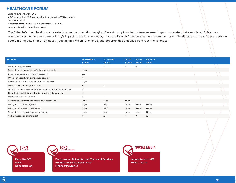#### **HEALTHCARE FORUM**

Expected Attendance: **200**  2021 Registration: **170 (pre-pandemic registration 200 average)**  Date: **Nov. 2022** Time: **Registration 8:30 - 9 a.m.; Program 9 - 11 a.m.** Location: **Location to be Determined**

The Raleigh-Durham healthcare industry is vibrant and rapidly changing. Recent disruptions to business as usual impact our systems at every level. This annual event focuses on the healthcare industry's impact on the local economy. Join the Raleigh Chambers as we explore the state of healthcare and hear from experts on economic impacts of this key industry sector, their vision for change, and opportunities that arise from recent challenges.

| <b>BENEFITS</b>                                                  | <b>PRESENTING</b><br>\$7,500 | <b>PLATINUM</b><br>\$5,000 | <b>GOLD</b><br>\$2,500 | <b>SILVER</b><br>\$1,000 | <b>BRONZE</b><br>\$500 |  |
|------------------------------------------------------------------|------------------------------|----------------------------|------------------------|--------------------------|------------------------|--|
| Reserved program seats                                           | 8                            | 8                          | 4                      |                          |                        |  |
| Recognition as "presented by" following event title              | Logo                         |                            |                        |                          |                        |  |
| 3-minute on-stage promotional opportunity                        | Logo                         |                            |                        |                          |                        |  |
| On-screen opportunity to introduce speaker                       | $\times$                     |                            |                        |                          |                        |  |
| Run of site ad for one month on Chamber website                  | Logo                         |                            |                        |                          |                        |  |
| Display table at event (6-foot table)                            | X                            | X                          |                        |                          |                        |  |
| Opportunity to display company banner and/or distribute premiums | X                            |                            |                        |                          |                        |  |
| Opportunity to distribute a drawing or prize(s) during event     | X                            |                            |                        |                          |                        |  |
| Mention in social media post                                     | X                            | X                          |                        |                          |                        |  |
| Recognition in promotional emails with website link              | Logo                         | Logo                       | Name                   |                          |                        |  |
| Recognition on event agenda                                      | Logo                         | Logo                       | Name                   | Name                     | Name                   |  |
| Recognition on event presentation                                | Logo                         | Logo                       | Name                   | Name                     | Name                   |  |
| Recognition on website calendar of events                        | Logo                         | Logo                       | Name                   | Name                     | Name                   |  |
| Verbal recognition during event                                  | $\times$                     | X                          | $\times$               | $\times$                 | X                      |  |

**TOP 3 TITLES**

**Executive/VP Sales Administraion**



**Professional, Scientific, and Technical Services Healthcare/Social Assistance Finance/Insurance**



**Impressions = 1.4M Reach = 301K**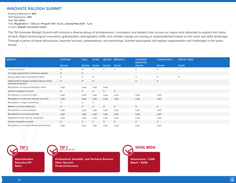# **INNOVATE RALEIGH SUMMIT**

Expected Attendance: **400**  2021 Registration: **300**  Date: **Oct. 2022** Time: **Registration 1 - 1:30 p.m.; Program 1:30 - 5 p.m.; Closing Party 5:30 - 7 p.m.** Location: **Raleigh Convention Center**

The 11th Innovate Raleigh Summit will convene a diverse group of entrepreneurs, innovators, and leaders from across our region and nationally to explore the future of work. Rapid technological innovation, globalization, demographic shifts, and climate change are having an unprecedented impact on the work and skills landscape. Through a series of panel discussions, keynote lectures, presentations, and workshops, Summit participants will explore opportunities and challenges in the years ahead.

| <b>BENEFITS</b>                                                     | <b>PLATINUM</b> | <b>GOLD</b> | <b>SILVER</b> | <b>BRONZE</b>  | <b>BREAKOUT</b> | <b>FOUNDERS</b><br><b>RECEPTION</b> | <b>CLOSING PARTY</b> | <b>DISPLAY TABLE</b> |
|---------------------------------------------------------------------|-----------------|-------------|---------------|----------------|-----------------|-------------------------------------|----------------------|----------------------|
|                                                                     | \$15,000        | \$10,000    | \$7,500       | \$2,500        | \$5,000         | \$10,000                            | \$10,000             | \$1,500              |
| <b>Tickets to Summit</b>                                            | 10              | 8           | 6             | $\overline{4}$ | 4               | 4                                   | $\overline{4}$       |                      |
| On-stage opportunity to introduce speaker                           | X               | X           |               |                |                 |                                     |                      |                      |
| Display table at the event (6-foot table)                           | X               | X           | X             |                |                 | X                                   | $\times$             | $\times$             |
| Opportunity to display company banner and/or<br>distribute premiums | $\times$        | X           | X             |                |                 | X                                   | $\times$             |                      |
| Recognition on event presentation slides                            | Logo            | Logo        | Logo          | Logo           |                 |                                     |                      |                      |
| Verbal recognition at event                                         | X               | X           | $\times$      | X              | X               |                                     |                      |                      |
| Recognition on event microsite                                      | Logo            | Logo        | Logo          | Logo           | Logo            | Logo                                | Logo                 |                      |
| Recognition on web site calendar of events                          | Logo            | Logo        | Logo          | Logo           | Logo            | Logo                                | Logo                 |                      |
| Recognition in digital advertising                                  | X               | X           | X             |                |                 |                                     |                      |                      |
| Mention in social media post                                        | X               | $\times$    | X             | X              | X               | X                                   | $\times$             |                      |
| Recognition on event program                                        | Logo            | Logo        | Logo          | Logo           | Logo            | Logo                                | Logo                 |                      |
| Recognition in promotional email                                    | Logo            | Logo        | Logo          | Logo           | Logo            | Logo                                | Logo                 |                      |
| Registration table sponsor recognition                              | Logo            | Logo        | Logo          | Logo           | Logo            | Logo                                | Logo                 |                      |
| Verbal recognition at event                                         | X               | X           | $\times$      | X              | X               | X                                   | $\times$             |                      |
| Recognition on Innovate Raleigh Summit blog                         | Logo            | Logo        | Logo          | Logo           | Logo            | Logo                                | Logo                 |                      |

**TOP 3 TITLES Administration** 

**Executive/VP Sales**



**Professional, Scientific, and Technical Services Other Services Finance/Insurance**

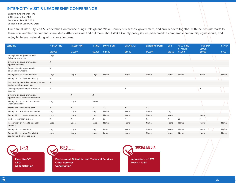#### **INTER-CITY VISIT & LEADERSHIP CONFERENCE**

Expected Attendance: **175** 2019 Registration: **180** Date: **April 24 - 27, 2022** Location: **Salt Lake City, Utah**

Our annual Inter-City Visit & Leadership Conference brings Raleigh and Wake County businesses, government, and civic leaders together with their counterparts to learn from another market and share ideas. Attendees will find out more about Wake County policy issues, benchmark a comparable community against ours, and enjoy high-level networking with other attendees.

| <b>BENEFITS</b>                                                     | <b>PRESENTING</b> | <b>RECEPTION</b> | <b>DINNER</b> | <b>LUNCHEON</b> | <b>BREAKFAST</b> | <b>ENTERTAINMENT</b> | <b>GIFT</b> | <b>CHARGING</b><br><b>STATION</b> | <b>PROGRAM</b><br><b>BLOCK</b> | <b>SNACK</b> |
|---------------------------------------------------------------------|-------------------|------------------|---------------|-----------------|------------------|----------------------|-------------|-----------------------------------|--------------------------------|--------------|
|                                                                     | \$10,000          | \$7,500          | \$5,000       | \$2,500         | \$1,500          | \$1,500              | \$1,250     | \$1,000                           | \$1,000                        | \$750        |
| Recognition as "presented by"<br>following event title              | Logo              |                  |               |                 |                  |                      |             |                                   |                                |              |
| 3-minute on-stage promotional<br>opportunity daily                  | X                 |                  |               |                 |                  |                      |             |                                   |                                |              |
| Run of site ad for one month<br>on Chamber website                  | X                 |                  |               |                 |                  |                      |             |                                   |                                |              |
| Recognition on event microsite                                      | Logo              | Logo             | Logo          | Name            | Name             | Name                 | Name        | Name                              | Name                           | Name         |
| Recognition in digital advertising                                  | X                 |                  |               |                 |                  |                      |             |                                   |                                |              |
| Opportunity to display company banner<br>and/or distribute premiums | $\mathsf{X}$      |                  |               |                 |                  |                      |             |                                   |                                |              |
| On-stage opportunity to introduce<br>speaker                        | X                 |                  |               |                 | X                |                      |             |                                   | X                              |              |
| 3-minute on-stage promotional<br>opportunity at sponsored location  |                   | X                | X             |                 |                  |                      |             |                                   |                                |              |
| Recognition in promotional emails<br>with website link              | Logo              | Logo             | Name          |                 |                  |                      |             |                                   |                                |              |
| Mention in social media post                                        | X                 | $\times$         | $\times$      | $\times$        | $\times$         | X                    |             |                                   |                                |              |
| Recognition at sponsored location                                   | Logo              | Logo             | Logo          | Name            | Name             | Name                 | Logo        |                                   |                                |              |
| Recognition on event presentation                                   | Logo              | Logo             | Logo          | Name            | Name             | Name                 | Name        |                                   | Name                           |              |
| Verbal recognition at event                                         | X                 | X                | X             | X               | X                | X                    | X           | $\times$                          | $\times$                       |              |
| Recognition on website calendar<br>of events                        | Logo              | Logo             | Logo          | Name            | Name             | Name                 | Name        | Name                              | Name                           | Name         |
| Recognition on event app                                            | Logo              | Logo             | Logo          | Logo            | Name             | Name                 | Name        | Name                              | Name                           | Name         |
| Recognition on Inter-City Visit &<br>Leadership Conference blog     | Logo              | Logo             | Logo          | Logo            | Name             | Name                 | Name        | Name                              | Name                           | Name         |

**TOP 3 TITLES**

**Executive/VP CEO Administration**



**Professional, Scientific, and Technical Services Other Services Construction**



 $\overline{\mathcal{R}}$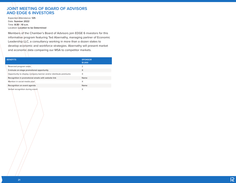#### **JOINT MEETING OF BOARD OF ADVISORS AND EDGE 6 INVESTORS**

Expected Attendance: **125**  Date: **Summer 2022** Time: **8:30 - 10 a.m.** Location: **Location to be Determined**

Members of the Chamber's Board of Advisors join EDGE 6 investors for this informative program featuring Ted Abernathy, managing partner of Economic Leadership LLC, a consultancy working in more than a dozen states to develop economic and workforce strategies. Abernathy will present market and economic data comparing our MSA to competitor markets.

| <b>BENEFITS</b>                                                  | <b>SPONSOR</b><br>\$1,000 |
|------------------------------------------------------------------|---------------------------|
| Reserved program seats                                           | 2                         |
| 3-minute on-stage promotional opportunity                        | X                         |
| Opportunity to display company banner and/or distribute premiums | X                         |
| Recognition in promotional emails with website link              | Name                      |
| Mention in social media post                                     | X                         |
| Recognition on event agenda                                      | Name                      |
| Verbal recognition during event                                  | X                         |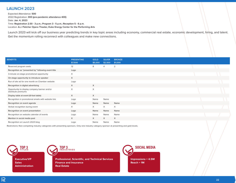### **LAUNCH 2023**

Expected Attendance: **500**  2022 Registration: **300 (pre-pandemic attendance 400)** Date: **Jan. 4, 2023** Time: **Registration 2:30 - 3 p.m.; Program 3 - 5 p.m.; Reception 5 - 6 p.m.** Location: **A.J. Fletcher Opera Theater, Duke Energy Center for the Performing Arts**

Launch 2023 will kick off our business year predicting trends in key topic areas including economy, commercial real estate, economic development, hiring, and talent. Get the momentum rolling reconnect with colleagues and make new connections.

| <b>BENEFITS</b>                                                     | <b>PRESENTING</b><br>\$7,500 | <b>GOLD</b><br>\$5,000 | <b>SILVER</b><br>\$2,500 | <b>BRONZE</b><br>\$1,000 |  |
|---------------------------------------------------------------------|------------------------------|------------------------|--------------------------|--------------------------|--|
| Reserved program seats                                              | 12                           | 8                      | $\overline{4}$           | 2                        |  |
| Recognition as "presented by" following event title                 | Logo                         |                        |                          |                          |  |
| 3-minute on-stage promotional opportunity                           | X                            |                        |                          |                          |  |
| On-stage opportunity to introduce speaker                           | X                            |                        |                          |                          |  |
| Run of site ad for one month on Chamber website                     | Logo                         |                        |                          |                          |  |
| Recognition in digital advertising                                  | X                            | X                      |                          |                          |  |
| Opportunity to display company banner and/or<br>distribute premiums | X                            | X                      |                          |                          |  |
| Display table at event (6-foot table)                               | $\times$                     | X                      |                          |                          |  |
| Recognition in promotional emails with website link                 | Logo                         | Name                   | Name                     |                          |  |
| Recognition on event agenda                                         | Logo                         | Name                   | Name                     | Name                     |  |
| Verbal recognition during event                                     | $\times$                     | $\times$               | $\times$                 | $\times$                 |  |
| Recognition on event presentation                                   | Logo                         | Name                   | Name                     | Name                     |  |
| Recognition on website calendar of events                           | Logo                         | Name                   | Name                     | Name                     |  |
| Mention in social media post                                        | $\times$                     | $\times$               | X                        | $\times$                 |  |
| Recognition on Launch 2023 blog                                     | Logo                         | Name                   | Name                     | Name                     |  |

Restrictions: Non-competing industry categories with presenting sponsors. Only one industry category sponsor at presenting and gold levels.



**Executive/VP Sales Administration**



**Professional, Scientific, and Technical Services Finance and Insurance Real Estate**



**Impressions = 4.5M Reach = 1M**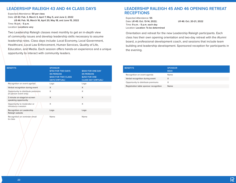#### **LEADERSHIP RALEIGH 43 AND 44 CLASS DAYS**

Expected Attendance: **50 per class**  Date: **LR 43: Feb. 3, March 3, April 7, May 5, and June 2, 2022 LR 44: Feb. 16, March 16, April 20, May 18, and June 15, 2022** Time: **9 a.m. - 5 p.m.** Location: **Locations vary**

Two Leadership Raleigh classes meet monthly to get an in-depth view of community issues and develop leadership skills necessary to assume leadership roles. Class days include: Local Economy, Local Government, Healthcare, Local Law Enforcement, Human Services, Quality of Life, Education, and Media. Each session offers hands-on experience and a unique opportunity to interact with community leaders.

| <b>BENEFITS</b>                                              | <b>SPONSOR</b><br><b>\$750 FOR TWO DAYS</b><br>(IN-PERSON)<br>\$400 FOR TWO CLASS<br><b>DAYS (VIRTUAL)</b> | \$500 FOR ONE DAY<br>(IN-PERSON)<br><b>\$250 FOR ONE</b><br><b>CLASS DAY (VIRTUAL)</b> |
|--------------------------------------------------------------|------------------------------------------------------------------------------------------------------------|----------------------------------------------------------------------------------------|
| Recognition on event agenda                                  | Logo                                                                                                       | Logo                                                                                   |
| Verbal recognition during event                              | X                                                                                                          | $\times$                                                                               |
| Opportunity to distribute premiums<br>(in-person event only) | X                                                                                                          | X                                                                                      |
| 3 minute on-stage/on-screen<br>speaking opportunity          | $\times$                                                                                                   | $\times$                                                                               |
| Opportunity to moderator or<br>introduce a session           | X                                                                                                          | X                                                                                      |
| Recognition on Leadership<br>Raleigh website                 | Logo                                                                                                       | Logo                                                                                   |
| Recognition on reminder email<br>to class                    | Name                                                                                                       | Name                                                                                   |

#### **LEADERSHIP RALEIGH 45 AND 46 OPENING RETREAT RECEPTIONS**

Expected Attendance: **55** Date: **LR 45: Oct. 13-14, 2022; LR 46: Oct. 20-21, 2022** Time: **9 a.m. - 5 p.m. each day** Location: **Location: To be determined**

Orientation and retreat for the new Leadership Raleigh participants. Each class has their own opening orientation and two-day retreat with the Alumni board, a professional development coach, and sessions that include team building and leadership development. Sponsored reception for participants in the evening.

| <b>BENEFITS</b>                        | <b>SPONSOR</b><br>\$500 |
|----------------------------------------|-------------------------|
| Recognition on event agenda            | Name                    |
| Verbal recognition during event        | x                       |
| Opportunity to distribute premiums     | x                       |
| Registration table sponsor recognition | Name                    |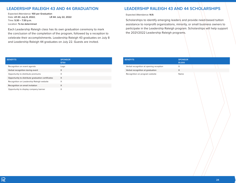#### **LEADERSHIP RALEIGH 43 AND 44 GRADUATION**

Expected Attendance: **100 per Graduation**  Date: **LR 43: July 8, 2022; LR 44: July 22, 2022** Time: **5:30 – 7:30 p.m.** Location: **To be determined**

Each Leadership Raleigh class has its own graduation ceremony to mark the conclusion of the completion of the program, followed by a reception to celebrate their accomplishments. Leadership Raleigh 43 graduates on July 8 and Leadership Raleigh 44 graduates on July 22. Guests are invited.

#### **LEADERSHIP RALEIGH 43 AND 44 SCHOLARSHIPS**

Expected Attendance: **N/A** 

Scholarships to identify emerging leaders and provide need-based tuition assistance to nonprofit organizations, minority, or small business owners to participate in the Leadership Raleigh program. Scholarships will help support the 2021/2022 Leadership Raleigh programs.

| <b>BENEFITS</b>                                   | <b>SPONSOR</b><br>\$750 |
|---------------------------------------------------|-------------------------|
| Recognition on event agenda                       | Logo                    |
| Verbal recognition during event                   | X                       |
| Opportunity to distribute premiums                | X                       |
| Opportunity to distribute graduation certificates | X                       |
| Recognition on Leadership Raleigh website         | X                       |
| Recognition on email invitation                   | X                       |
| Opportunity to display company banner             | X                       |

| <b>BENEFITS</b>                         | <b>SPONSOR</b><br>\$1,000 |
|-----------------------------------------|---------------------------|
| Verbal recognition at opening reception |                           |
| Verbal recognition at graduation        |                           |
| Recognition on program website          | Name                      |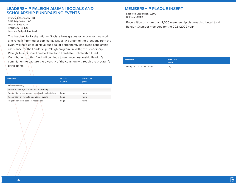#### **LEADERSHIP RALEIGH ALUMNI SOCIALS AND SCHOLARSHIP FUNDRAISING EVENTS**

Expected Attendance: **100** 2019 Registration: **100**  Date: **August 2022** Time: **5:30 – 7 p.m.** Location: **To be determined**

The Leadership Raleigh Alumni Social allows graduates to connect, network, and remain informed of community issues. A portion of the proceeds from the event will help us to achieve our goal of permanently endowing scholarship assistance for the Leadership Raleigh program. In 2007, the Leadership Raleigh Alumni Board created the John Freehafer Scholarship Fund. Contributions to this fund will continue to enhance Leadership Raleigh's commitment to capture the diversity of the community through the program's participants.

| <b>BENEFITS</b>                                     | HOST*<br>\$1,500 | <b>SPONSOR</b><br>\$500 |
|-----------------------------------------------------|------------------|-------------------------|
| Reserved seating                                    |                  |                         |
| 3-minute on-stage promotional opportunity           | X                |                         |
| Recognition in promotional emails with website link | Logo             | Name                    |
| Recognition on website calendar of events           | Logo             | Name                    |
| Registration table sponsor recognition              | Logo             | Name                    |

#### **MEMBERSHIP PLAQUE INSERT**

Expected Distribution: **2,500**  Date: **Jan. 2022**

Recognition on more than 2,500 membership plaques distributed to all Raleigh Chamber members for the 2021/2022 year.

| <b>BENEFITS</b>               | <b>PRINTING</b><br>\$1,000 |
|-------------------------------|----------------------------|
| Recognition on printed insert | Logo                       |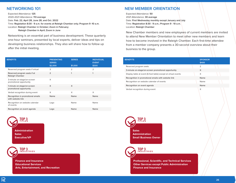#### **NETWORKING 101**

Expected Attendance: **125**  2020-2021 Attendance: **113 average**  Date: **Feb. 22, April 28, June 28, and Oct. 2022** Time: **Registation 8:30 - 9 a.m. for events at Raleigh Chamber only; Program 9 -10 a.m.** Location: **Raleigh Chamber in October; Zoom in February; Raleigh Chamber in April; Zoom in June**

Networking is an essential part of business development. These quarterly one-hour seminars, presented by local experts, deliver ideas and tips on developing business relationships. They also will share how to follow up after the initial meeting.

| <b>BENEFITS</b>                                        | <b>PRESENTING</b><br><b>SERIES</b><br>\$2,000 | <b>SERIES</b><br>\$1,000 | <b>INDIVIDUAL</b><br><b>EVENT</b><br>\$300 |
|--------------------------------------------------------|-----------------------------------------------|--------------------------|--------------------------------------------|
| Reserved program seats if virtual                      | 3                                             | $\overline{2}$           | $\overline{2}$                             |
| Reserved program seats if at<br>Raleigh Chamber        | $\overline{2}$                                | 1                        | 1                                          |
| 3-minute on-stage/on-screen<br>promotional opportunity | X                                             |                          |                                            |
| 1-minute on-stage/on-screen<br>promotional opportunity | X                                             | X                        |                                            |
| Verbal recognition during event                        | X                                             | X                        | X                                          |
| Recognition in promotional emails<br>with website link | Name                                          | Name                     | Name                                       |
| Recognition on website calendar<br>of events           | Logo                                          | Name                     | Name                                       |
| Recognition on event agenda                            | Logo                                          | Name                     | Name                                       |



**TOP 3 INDUSTRIES**

**Finance and Insurance Educational Services Arts, Entertainment, and Recreation**

## **NEW MEMBER ORIENTATION**

Expected Attendance: **50**  2021 Attendance: **30 average** Date: **First Wednesday monthly except January and July** Time: **Registration 8:30 - 9 a.m.; Program 9 - 10 a.m.** Location: **Raleigh Chamber**

New Chamber members and new employees of current members are invited to attend New Member Orientation to meet other new members and learn how to become involved in the Raleigh Chamber. Each first-time attendee from a member company presents a 30-second overview about their business to the group.

| <b>BENEFITS</b>                                                | <b>SPONSOR</b><br>\$400 |  |
|----------------------------------------------------------------|-------------------------|--|
| Reserved program seats                                         | $\overline{2}$          |  |
| 3-minute on-stage/on-screen promotional opportunity            | X                       |  |
| Display table at event (6-foot table) except at virtual events | X                       |  |
| Recognition in promotional emails with website link            | Name                    |  |
| Recognition on website calendar of events                      | Name                    |  |
| Recognition on event agenda                                    | Name                    |  |
| Verbal recognition during event                                | X                       |  |





**Professional, Scientific, and Technical Services Other Services except Public Administration Finance and Insurance**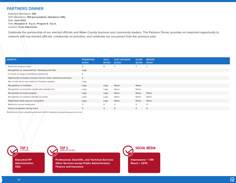# **PARTNERS DINNER**

Expected Attendance: **250**  2021 Attendance: **100 (pre-pandemic attendance 245)** Date: **June 2022**  Time: **Reception 5 - 6 p.m.; Program 6 - 8 p.m.** Location: **To be determined**

Celebrate the partnership of our elected officials and Wake County business and community leaders. The Partners Dinner provides an important opportunity to network with top elected officials, collaborate on priorities, and celebrate our successes from the previous year.

| <b>BENEFITS</b>                                                  | <b>PRESENTING</b><br>\$7,500 | <b>GOLD</b><br>\$5,000 | <b>HOST SPONSOR</b><br>\$2,500 | <b>SILVER</b><br>\$2,500 | <b>BRONZE</b><br>\$1,000 |
|------------------------------------------------------------------|------------------------------|------------------------|--------------------------------|--------------------------|--------------------------|
| Reserved program seats                                           | 8                            | 8                      | $\overline{4}$                 | 4                        | 2                        |
| Recognition as "presented by" following event title              | Logo                         |                        |                                |                          |                          |
| 3-minute on-stage promotional opportunity                        | X                            |                        |                                |                          |                          |
| Opportunity to display company banner and/or distribute premiums | X                            |                        |                                |                          |                          |
| Run of site ad for one month on Chamber website                  | Logo                         |                        |                                |                          |                          |
| Recognition on invitation                                        | Logo                         | Logo                   | Name                           | Name                     |                          |
| Recognition in promotion emails with website link                | Logo                         | Logo                   | Name                           | Name                     |                          |
| Recognition on event program                                     | Logo                         | Logo                   | Name                           | Name                     | Name                     |
| Recognition on website calendar of events                        | Logo                         | Logo                   | Name                           | Name                     | Name                     |
| Registration table sponsor recognition                           | Logo                         | Logo                   | Name                           | Name                     | Name                     |
| Mention in social media post                                     | X                            | $\times$               | $\times$                       | X                        | $\times$                 |
| Verbal recognition during event                                  | X                            | $\times$               | $\times$                       | X                        | $\times$                 |

Restrictions: Non-competing sponsors within industry at presenting sponsor level

**Executive/VP Administration CEO**

**TOP 3 TITLES**



**Professional, Scientific, and Technical Services Other Services except Public Administration Finance and Insurance**



**Impressions = 1.1M Reach = 237K**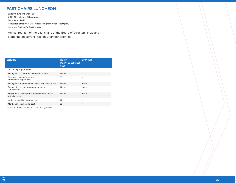### **PAST CHAIRS LUNCHEON**

Expected Attendance: **30**  2019 Attendance: **30 average** Date: **April 2022** Time: **Registration 11:30 - Noon; Program Noon - 1:30 p.m.** Location: **Sullivan's Steakhouse**

Annual reunion of the past chairs of the Board of Directors, including a briefing on current Raleigh Chamber priorities

| HOST*<br><b>DONATED SERVICES</b><br>\$500 | <b>SPONSOR</b> |
|-------------------------------------------|----------------|
| $\overline{2}$                            | $\overline{2}$ |
| Name                                      |                |
| X                                         | X              |
| Name                                      | Name           |
| Name                                      | Name           |
| Name                                      | Name           |
| X                                         | X              |
| X                                         | X              |
|                                           |                |

\*Donated facility, A/V, meals, taxes, and gratuities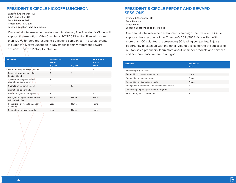## **PRESIDENT'S CIRCLE KICKOFF LUNCHEON**

Expected Attendance: **100** 2021 Registration: **80** Date: **March 10, 2022** Time: **Noon – 1:30 p.m.** Location: **Location to be determined**

Our annual total resource development fundraiser, The President's Circle, will support the execution of the Chamber's 2021/2022 Action Plan with more than 100 volunteers representing 50 leading companies. The Circle events includes the Kickoff Luncheon in November, monthly report and reward sessions, and the Victory Celebration.

| <b>BENEFITS</b>                                        | <b>PRESENTING</b><br><b>SERIES</b><br>\$2,000 | <b>SERIES</b><br>\$1,000 | <b>INDIVIDUAL</b><br><b>EVENT</b><br>\$300 |
|--------------------------------------------------------|-----------------------------------------------|--------------------------|--------------------------------------------|
| Reserved program seats if virtual                      | 3                                             | $\overline{2}$           | $\overline{2}$                             |
| Reserved program seats if at<br>Raleigh Chamber        | $\overline{2}$                                | 1                        | 1                                          |
| 3-minute on-stage/on-screen<br>promotional opportunity | X                                             |                          |                                            |
| 1-minute on-stage/on-screen                            | $\times$                                      | X                        |                                            |
| promotional opportunity                                |                                               |                          |                                            |
| Verbal recognition during event                        | X                                             | X                        | X                                          |
| Recognition in promotional emails<br>with website link | Name                                          | Name                     | Name                                       |
| Recognition on website calendar<br>of events           | Logo                                          | Name                     | Name                                       |
| Recognition on event agenda                            | Logo                                          | Name                     | Name                                       |

#### **PRESIDENT'S CIRCLE REPORT AND REWARD SESSIONS**

Expected Attendance: **50**  Date: **Monthly** Time: **Varies** Location: **Locations to be determined**

Our annual total resource development campaign, the President's Circle, supports the execution of the Chamber's 2021/2022 Action Plan with more than 100 volunteers representing 50 leading companies. Enjoy an opportunity to catch up with the other volunteers, celebrate the success of our top sales producers, learn more about Chamber products and services, and see how close we are to our goal.

| <b>BENEFITS</b>                                     | <b>SPONSOR</b><br>\$750 |
|-----------------------------------------------------|-------------------------|
| Reserved program seats                              | $\overline{2}$          |
| Recognition on event presentation                   | Logo                    |
| Recognition on sponsor board                        | Name                    |
| Recognition on Campaign website                     | Name                    |
| Recognition in promotional emails with website link | X                       |
| Opportunity to participate in event program         | X                       |
| Verbal recognition during event                     | X                       |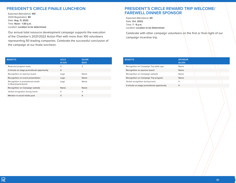#### **PRESIDENT'S CIRCLE FINALE LUNCHEON**

Expected Attendance: **100** 2020 Registration: **80**  Date: **Aug. 11, 2022** Time: **Noon - 1:30 p.m.** Location: **Location to be determined**

Our annual total resource development campaign supports the execution of the Chamber's 2021/2022 Action Plan with more than 100 volunteers representing 50 leading companies. Celebrate the successful conclusion of the campaign at our finale luncheon.

#### **PRESIDENT'S CIRCLE REWARD TRIP WELCOME/ FAREWELL DINNER SPONSOR**

Expected Attendance: **60**  Date: **Oct. 2022** Time: **7 - 9 p.m.** Location: **Location to be Determined**

Celebrate with other campaign volunteers on the first or final night of our campaign incentive trip.

| <b>BENEFITS</b>                                            | <b>GOLD</b><br>\$1,500 | <b>SILVER</b><br>\$500 |
|------------------------------------------------------------|------------------------|------------------------|
| Reserved program seats                                     | 4                      | $\overline{2}$         |
| 3-minute on stage promotional opportunity                  | X                      |                        |
| Recognition on sponsor board                               | Logo                   | Name                   |
| Recognition on event presentation                          | Logo                   | Name                   |
| Recognition in promotional emails<br>to Board/participants | Logo                   | Name                   |
| Recognition on Campaign website                            | Name                   | Name                   |
| Verbal recognition during event                            | X                      | X                      |
| Mention in social media post                               | X                      | X                      |

| <b>BENEFITS</b>                           | <b>SPONSOR</b><br>\$2,500 |
|-------------------------------------------|---------------------------|
| Recognition on Campaign Trip table sign   | Name                      |
| Recognition on sponsor board              | Name                      |
| Recognition on Campaign website           | Name                      |
| Recognition on Campaign Trip program      | Name                      |
| Verbal recognition during event           | X                         |
| 3-minute on-stage promotional opportunity | X                         |
|                                           |                           |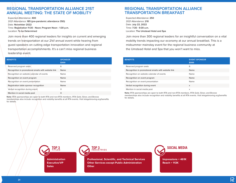#### **REGIONAL TRANSPORTATION ALLIANCE 21ST ANNUAL MEETING: THE STATE OF MOBILITY**

Expected Attendance: **400**  2021 Attendance: **185 (pre-pandemic attendance 350)**  Date: **November 2022** Time: **Registration 11:30 - Noon; Program Noon - 1:30 p.m.**  Location: **To be Determined**

Join more than 400 regional leaders for insights on current and emerging trends on transportation at our 21st annual event while hearing from guest speakers on cutting edge transportation innovation and regional transportation accomplishments. It's a can't miss regional business leadership event.

| <b>BENEFITS</b>                                     | <b>SPONSOR</b><br>\$999 |
|-----------------------------------------------------|-------------------------|
| Reserved program seats                              | 6                       |
| Recognition in promotional emails with website link | Name                    |
| Recognition on website calendar of events           | Name                    |
| Recognition on event program                        | Name                    |
| Recognition on event presentation                   | Name                    |
| Registration table sponsor recognition              | Name                    |
| Verbal recognition during event                     | X                       |
| Mention in social media post                        | X                       |

**Note:** RTA sponsorships are open to both RTA and non-RTA members. RTA Gold, Silver, and Bronze memberships also include recognition and visibility benefits at all RTA events. Visit letsgetmoving.org/benefits for details.

#### **REGIONAL TRANSPORTATION ALLIANCE TRANSPORTATION BREAKFAST**

Expected Attendance: **250**  2021 Attendance: **210**  Date: **July 22, 2022** Time: **7:30 - 9:30 a.m.** Location: **The Umstead Hotel and Spa**

Join more than 300 regional leaders for an insightful conversation on a vital mobility trends impacting our economy at our annual breakfast. This is a midsummer mainstay event for the regional business community at the Umstead Hotel and Spa that you won't want to miss.

| <b>BENEFITS</b>                                     | <b>EVENT SPONSOR</b><br>\$999 |
|-----------------------------------------------------|-------------------------------|
| Reserved program seats                              | 6                             |
| Recognition in promotional emails with website link | Name                          |
| Recognition on website calendar of events           | Name                          |
| Recognition on event program                        | Name                          |
| Recognition on event presentation                   | Name                          |
| Verbal recognition during event                     | X                             |
| Mention in social media post                        | X                             |

**Note:** RTA sponsorships are open to both RTA and non-RTA members. RTA Gold, Silver, and Bronze memberships also include recognition and visibility benefits at all RTA events. Visit letsgetmoving.org/benefits for details.



**Administration Executive/VP Sales**



**Professional, Scientific, and Technical Services Other Services except Public Administration Other**

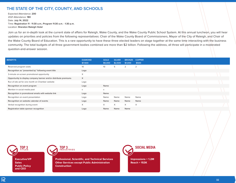#### **THE STATE OF THE CITY, COUNTY, AND SCHOOLS**

Expected Attendance: **200**  2021 Attendance: **180**  Date: **July 14, 2022** Time: **Registration 11 - 11:30 a.m.; Program 11:30 a.m. - 1:30 p.m.** Location: **Sheraton Raleigh Hotel**

Join us for an in-depth look at the current state of affairs for Raleigh, Wake County, and the Wake County Public School System. At this annual luncheon, you will hear updates on priorities and policies from the following representatives: Chair of the Wake County Board of Commissioners, Mayor of the City of Raleigh, and Chair of the Wake County Board of Education. This is a rare opportunity to have these three elected leaders on stage together at the same time interacting with the business community. The total budgets of all three government bodies combined are more than \$2 billion. Following the address, all three will participate in a moderated question-and-answer session.

| <b>DIAMOND</b><br>\$7,500 | <b>GOLD</b><br>\$5,000 | <b>SILVER</b><br>\$2,500 | <b>BRONZE</b><br>\$1,000 | <b>COPPER</b><br>\$500 |  |
|---------------------------|------------------------|--------------------------|--------------------------|------------------------|--|
| 10                        | 10                     | 5                        | $\overline{2}$           | 2                      |  |
| Logo                      |                        |                          |                          |                        |  |
| X                         |                        |                          |                          |                        |  |
| $\times$                  |                        |                          |                          |                        |  |
| Logo                      |                        |                          |                          |                        |  |
| Logo                      | Name                   |                          |                          |                        |  |
| $\mathsf{x}$              | X                      |                          |                          |                        |  |
| Logo                      | Name                   |                          |                          |                        |  |
| Logo                      | Name                   | Name                     | Name                     | Name                   |  |
| Logo                      | Name                   | Name                     | Name                     | Name                   |  |
| X                         | X                      | $\times$                 | $\times$                 | $\times$               |  |
| Logo                      | Name                   | Name                     | Name                     |                        |  |
|                           |                        |                          |                          |                        |  |

**TOP 3 TITLES**

**Executive/VP Sales Public Policy and CEO**



**Professional, Scientific, and Technical Services Other Services except Public Administration Construction**



**Impressions = 1.2M Reach = 153K**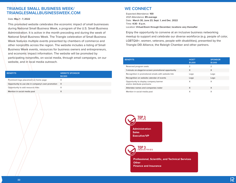#### **TRIANGLE SMALL BUSINESS WEEK/ TRIANGLESMALLBUSINESSWEEK.COM**

#### Date: **May 1 - 7, 2022**

This promoted website celebrates the economic impact of small businesses during National Small Business Week, a program of the U.S. Small Business Administration. It is active in the month preceding and during the week of National Small Business Week. The Triangle celebration of Small Business Week features multiple events presented by chambers of commerce and other nonprofits across the region. The website includes a listing of Small Business Week events, resources for business owners and entrepreneurs, and economic impact information. The website will be promoted by participating nonprofits, on social media, through email campaigns, on our website, and in local media outreach.

| <b>BENEFITS</b>                                    | <b>WEBSITE SPONSOR</b><br>\$3,500 |
|----------------------------------------------------|-----------------------------------|
| Prominent logo placement on home page              | х                                 |
| Opportunity to use site in company's own promotion | X                                 |
| Opportunity to add resource links                  | x                                 |
| Mention in social media post                       | x                                 |

## **WE CONNECT**

Expected Attendance: **100**  2021 Attendance: **85 average**  Date: **March 30, June 23, Sept. 1, and Dec. 2022** Time: **4:30 - 6 p.m.** Location: **Virtual/Zoom through December; locations vary thereafter**

Enjoy the opportunity to convene at an inclusive business networking meetup to support and celebrate our diverse workforce (e.g. people of color, LGBTQIA+, women, veterans, people with disabilities), presented by the Triangle DEI Alliance, the Raleigh Chamber and other partners.

| <b>BENEFITS</b>                                                     | HOST*<br>\$1,000 | <b>SPONSOR</b><br>\$1,000 |
|---------------------------------------------------------------------|------------------|---------------------------|
| Reserved program seats                                              | $\overline{2}$   | っ                         |
| 1-minute on-stage/on-screen promotional opportunity                 | X                | $\times$                  |
| Recognition in promotional emails with website link                 | Logo             | Logo                      |
| Recognition on website calendar of events                           | Logo             | Logo                      |
| Opportunity to display company banner<br>and/or distribute premiums | X                | X                         |
| Attendee names and companies roster                                 | X                | X                         |
| Mention in social media post                                        | X                | X                         |

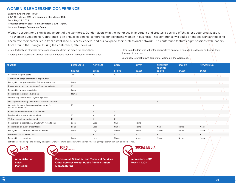#### **WOMEN'S LEADERSHIP CONFERENCE**

Expected Attendance: **1,000**  2021 Attendance: **525 (pre-pandemic attendance 900)**  Date: **May 24, 2022**  Time: **Registration 8:30 - 9 a.m.; Program 9 a.m. - 3 p.m.** Location: **Raleigh Convention Center**

Women account for a significant amount of the workforce. Gender diversity in the workplace in important and creates a positive effect across your organization. The Women's Leadership Conference is an annual leadership conference for advancing women in business. This conference will equip attendees with strategies to accelerate their career, learn from established business leaders, and build/expand their professional network. The conference features eight sessions with leaders from around the Triangle. During the conference, attendees will:

• Gain tactical and strategic advice and resources from the area's top executives.

• Participate in discussion groups focused on helping women succeed in the workplace.

• Hear from leaders who will offer perspectives on what it takes to be a leader and share their journeys to success.

• Learn how to break down barriers for women in the workplace.

| <b>BENEFITS</b>                                                     | <b>PRESENTING</b> | <b>PLATINUM</b> | <b>GOLD</b> | <b>SILVER</b> | <b>BREAKOUT</b><br><b>SESSION</b> | <b>BRONZE</b> | <b>NETWORKING</b> |  |
|---------------------------------------------------------------------|-------------------|-----------------|-------------|---------------|-----------------------------------|---------------|-------------------|--|
|                                                                     | \$20,000          | \$7,500         | \$4,000     | \$2,500       | \$2,000                           | \$1,500       | \$1,000           |  |
| Reserved program seats                                              | 30                | 20              | 10          | 5             | 5                                 | 5             | $\overline{2}$    |  |
| 3-minute on-stage promotional opportunity                           | X                 |                 |             |               |                                   |               |                   |  |
| Recognition as "presented by" following event title                 | Logo              |                 |             |               |                                   |               |                   |  |
| Run of site ad for one month on Chamber website                     | $\times$          |                 |             |               |                                   |               |                   |  |
| Recognition in print advertising                                    | Logo              |                 |             |               |                                   |               |                   |  |
| Recognition in digital advertising                                  | Name              |                 |             |               |                                   |               |                   |  |
| Opportunity to introduce Keynote Speaker                            | X                 |                 |             |               |                                   |               |                   |  |
| On-stage opportunity to introduce breakout session                  |                   |                 |             |               | $\times$                          |               |                   |  |
| Opportunity to display company banner and/or<br>distribute premiums | X                 | X               |             |               |                                   |               |                   |  |
| Participation on conference committee                               | X                 | X               | X           |               |                                   |               |                   |  |
| Display table at event (6-foot table)                               | X                 | $\times$        | $\times$    |               |                                   |               |                   |  |
| Verbal recognition during event                                     | $\times$          | $\times$        | $\times$    |               |                                   |               |                   |  |
| Recognition in promotional emails with website link                 | Logo              | Logo            | Name        | Name          |                                   |               |                   |  |
| Recognition on event presentation                                   | Logo              | Logo            | Name        | Name          | Name                              | Name          | Name              |  |
| Recognition on website calendar of events                           | Logo              | Logo            | Name        | Name          | Name                              | Name          | Name              |  |
| Mention in social media post                                        | $\times$          | X               | $\times$    | $\times$      | X                                 | $\times$      | X                 |  |
| Recognition on event app                                            | Logo              | Logo            | Name        | Name          | Name                              | Name          | Name              |  |

Restrictions: Non-competing industry categories with presenting sponsor. Only one industry category sponsor at platinum and gold levels.

**TOP 3 TITLES**

**Administration Sales Marketing**



**Professional, Scientific, and Technical Services Other Services except Public Administration Manufacturing**

**SOCIAL MEDIA Impressions = 3M Reach = 120K**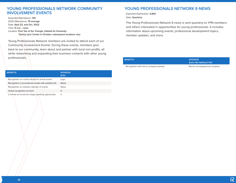#### **YOUNG PROFESSIONALS NETWORK COMMUNITY INVOLVEMENT EVENTS**

Expected Attendance: **125** 2020 Attendance: **75 average** Date: **April 22, and Oct. 2022** Time: **9 a.m. - noon** Location: **First Tee of the Triangle, Habitat for Humanity Tammy Lynn Center in October; subsequent locations vary**

Young Professionals Network members are invited to attend each of our Community Involvement Events. During these events, members give back to our community, learn about and partner with local non-profits, all while networking and expanding their business contacts with other young professionals.

| <b>BENEFITS</b>                                     | <b>SPONSOR</b><br>\$750 |
|-----------------------------------------------------|-------------------------|
| Recognition on t-shirts except for virtual events   | Logo                    |
| Recognition in promotional emails with website link | Name                    |
| Recognition on website calendar of events           | Name                    |
| Verbal recognition at event                         | X                       |
| 2-minute on-screen/on-stage speaking opportunity    | X                       |

## **YOUNG PROFESSIONALS NETWORK E-NEWS**

Expected Distribution: **3,845** Date: **Quarterly**

The Young Professionals Network E-news is sent quarterly to YPN members and others interested in opportunities for young professionals. It includes information about upcoming events, professional development topics, member updates, and more.

| <b>BENEFITS</b>                          | <b>SPONSOR</b><br>\$200 PER NEWSLETTER |
|------------------------------------------|----------------------------------------|
| Recognition with link to company website | Banner ad designed by company          |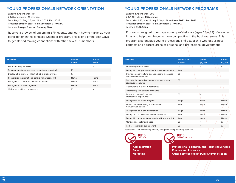#### **YOUNG PROFESSIONALS NETWORK ORIENTATION**

Expected Attendance: **40**  2020 Attendance: **28 average**  Date: **May 12, Aug. 25, and Nov. 2022; Feb. 2023** Time: **Registration 8:30 - 9 a.m.; Program 9 - 10 a.m.** Location: **Raleigh Founded Gateway Plaza**

Receive a preview of upcoming YPN events, and learn how to maximize your participation in this fantastic Chamber program. This is one of the best ways to get started making connections with other new YPN members.

| <b>YOUNG PROFESSIONALS NETWORK PROGRAMS</b> |  |
|---------------------------------------------|--|
|                                             |  |

Expected Attendance: **200**  2021 Attendance: **156 average**  Date: **March 10, May 19, July 7, Sept. 15, and Nov. 2022; Jan. 2023** Time: **Registration 8:30 - 9 a.m.; Program 9 - 10 a.m.** Location: **PNC Arena**

Programs designed to engage young professionals (ages  $23 - 39$ ) of member firms and help them become more competitive in the business arena. This program also enables young professionals to establish a web of business contacts and address areas of personal and professional development.

| <b>BENEFITS</b>                                          | <b>SERIES</b><br>\$2,000 | <b>EVENT</b><br>\$500 |
|----------------------------------------------------------|--------------------------|-----------------------|
| Reserved program seats                                   | $\overline{2}$           | 2                     |
| 3-minute on-stage/on-screen promotional opportunity      | X                        |                       |
| Display table at event (6-foot table), excluding virtual | X                        |                       |
| Recognition in promotional emails with website link      | Name                     | Name                  |
| Recognition on website calendar of events                | Name                     | Name                  |
| Recognition on event agenda                              | Name                     | Name                  |
| Verbal recognition during event                          | X                        | X                     |

| <b>BENEFITS</b>                                                          | <b>PRESENTING</b><br>\$7,500 | <b>SERIES</b><br>\$4,000 | <b>EVENT</b><br>\$1,000 |
|--------------------------------------------------------------------------|------------------------------|--------------------------|-------------------------|
| Reserved program seats                                                   | 16                           | 8                        | 8                       |
| Recognition as "presented by" following event title                      | Logo                         |                          |                         |
| On-stage opportunity to open sponsors' messages<br>and welcome attendees | X                            |                          |                         |
| Opportunity to display company banner and/or<br>distribute premiums      | $\times$                     |                          |                         |
| Display table at event (6-foot table)                                    | X                            |                          |                         |
| Opportunity to distribute premiums                                       | X                            |                          |                         |
| 2-minute on-stage/on-screen<br>promotional opportunity                   | X                            | X                        |                         |
| Recognition on event program                                             | Logo                         | Name                     | Name                    |
| Run of site ad on Young Professionals<br>Network web pages               | Logo                         | Name                     | Name                    |
| Recognition on event presentation                                        | Logo                         | Name                     | Name                    |
| Recognition on website calendar of events                                | Logo                         | Name                     | Name                    |
| Recognition in promotional emails with website link                      | Logo                         | Name                     | Name                    |
| Mention in social media post                                             | X                            | X                        | X                       |
| Verbal recognition during event                                          | X                            | X                        | X                       |
| Restrictions: Non-competing industry categories with presenting sponsors |                              |                          |                         |

Restrictions: Non-competing industry categories with presenting sponsors.



**TOP 3 INDUSTRIES**

**Professional, Scientific, and Technical Services Finance and Insurance Other Services except Public Administration**